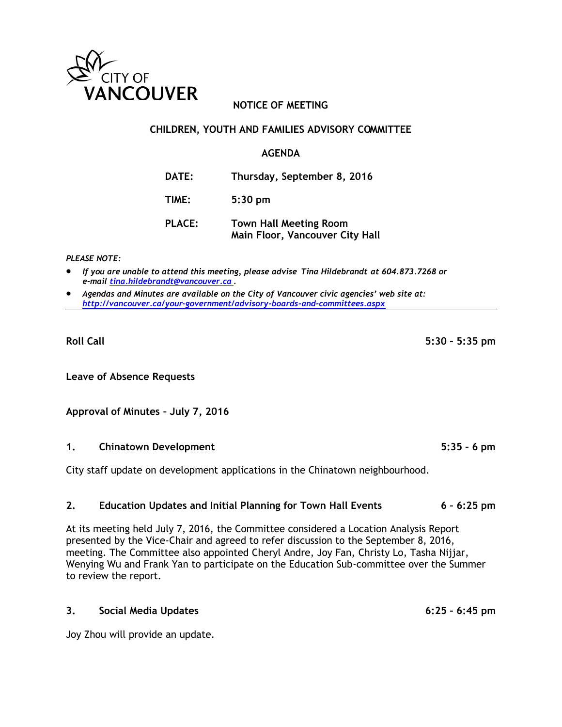

### **NOTICE OF MEETING**

#### **CHILDREN, YOUTH AND FAMILIES ADVISORY COMMITTEE**

#### **AGENDA**

**DATE: Thursday, September 8, 2016**

**TIME: 5:30 pm**

**PLACE: Town Hall Meeting Room Main Floor, Vancouver City Hall**

*PLEASE NOTE:*

- *If you are unable to attend this meeting, please advise Tina Hildebrandt at 604.873.7268 or e-mail [tina.hildebrandt@vancouver.ca](mailto:tina.hildebrandt@vancouver.ca) .*
- *Agendas and Minutes are available on the City of Vancouver civic agencies' web site at: <http://vancouver.ca/your-government/advisory-boards-and-committees.aspx>*

**Leave of Absence Requests**

**Approval of Minutes – July 7, 2016**

### **1. Chinatown Development 5:35 – 6 pm**

City staff update on development applications in the Chinatown neighbourhood.

### **2. Education Updates and Initial Planning for Town Hall Events 6 – 6:25 pm**

At its meeting held July 7, 2016, the Committee considered a Location Analysis Report presented by the Vice-Chair and agreed to refer discussion to the September 8, 2016, meeting. The Committee also appointed Cheryl Andre, Joy Fan, Christy Lo, Tasha Nijjar, Wenying Wu and Frank Yan to participate on the Education Sub-committee over the Summer to review the report.

#### **3. Social Media Updates 6:25 – 6:45 pm**

Joy Zhou will provide an update.

**Roll Call 5:30 – 5:35 pm**